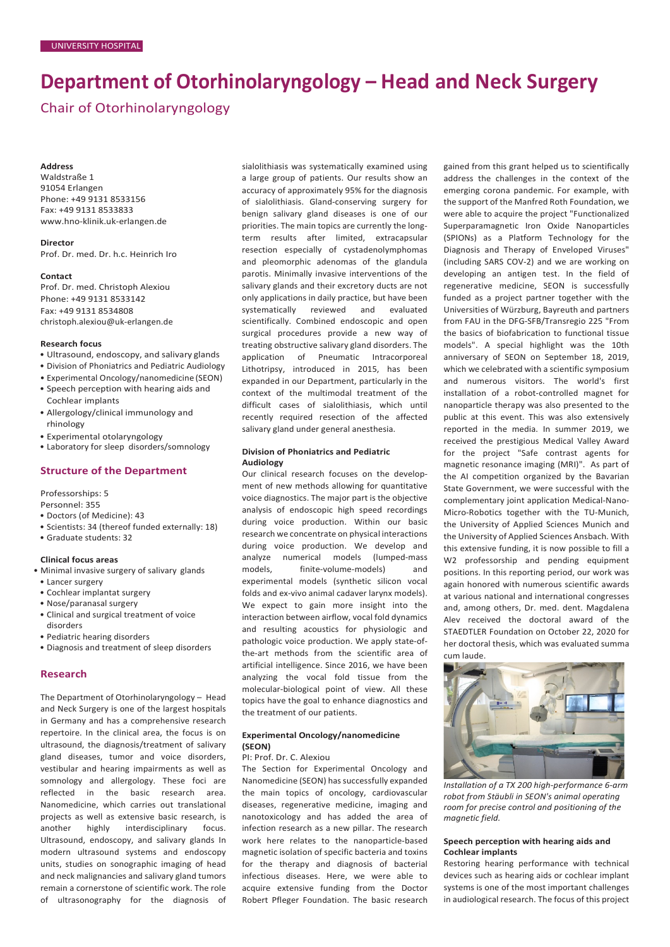# **Department of Otorhinolaryngology – Head and Neck Surgery**

Chair of Otorhinolaryngology

#### **Address**

Waldstraße 1 91054 Erlangen Phone: +49 9131 8533156 Fax: +49 9131 8533833 [www.hno-klinik.uk-erlangen.de](http://www.hno-klinik.uk-erlangen.de/)

**Director** Prof. Dr. med. Dr. h.c. Heinrich Iro

#### **Contact**

Prof. Dr. med. Christoph Alexiou Phone: +49 9131 8533142 Fax: +49 9131 8534808 [christoph.alexiou@uk-erlangen.de](mailto:christoph.alexiou@uk-erlangen.de)

## **Research focus**

- Ultrasound, endoscopy, and salivary glands
- Division of Phoniatrics and Pediatric Audiology
- Experimental Oncology/nanomedicine (SEON)
- Speech perception with hearing aids and Cochlear implants
- Allergology/clinical immunology and rhinology
- Experimental otolaryngology
- Laboratory for sleep disorders/somnology

#### **Structure of the Department**

Professorships: 5

- Personnel: 355
- Doctors (of Medicine): 43
- Scientists: 34 (thereof funded externally: 18)
- Graduate students: 32

# **Clinical focus areas**

- Minimal invasive surgery of salivary glands
- Lancer surgery
- Cochlear implantat surgery • Nose/paranasal surgery
- Clinical and surgical treatment of voice disorders
- Pediatric hearing disorders
- Diagnosis and treatment of sleep disorders

#### **Research**

The Department of Otorhinolaryngology – Head and Neck Surgery is one of the largest hospitals in Germany and has a comprehensive research repertoire. In the clinical area, the focus is on ultrasound, the diagnosis/treatment of salivary gland diseases, tumor and voice disorders, vestibular and hearing impairments as well as somnology and allergology. These foci are reflected in the basic research area. Nanomedicine, which carries out translational projects as well as extensive basic research, is another highly interdisciplinary focus. Ultrasound, endoscopy, and salivary glands In modern ultrasound systems and endoscopy units, studies on sonographic imaging of head and neck malignancies and salivary gland tumors remain a cornerstone of scientific work. The role of ultrasonography for the diagnosis of sialolithiasis was systematically examined using a large group of patients. Our results show an accuracy of approximately 95% for the diagnosis of sialolithiasis. Gland-conserving surgery for benign salivary gland diseases is one of our priorities. The main topics are currently the longterm results after limited, extracapsular resection especially of cystadenolymphomas and pleomorphic adenomas of the glandula parotis. Minimally invasive interventions of the salivary glands and their excretory ducts are not only applications in daily practice, but have been systematically reviewed and evaluated scientifically. Combined endoscopic and open surgical procedures provide a new way of treating obstructive salivary gland disorders. The application of Pneumatic Intracorporeal Lithotripsy, introduced in 2015, has been expanded in our Department, particularly in the context of the multimodal treatment of the difficult cases of sialolithiasis, which until recently required resection of the affected salivary gland under general anesthesia.

# **Division of Phoniatrics and Pediatric Audiology**

Our clinical research focuses on the development of new methods allowing for quantitative voice diagnostics. The major part is the objective analysis of endoscopic high speed recordings during voice production. Within our basic research we concentrate on physical interactions during voice production. We develop and analyze numerical models (lumped-mass models, finite-volume-models) and experimental models (synthetic silicon vocal folds and ex-vivo animal cadaver larynx models). We expect to gain more insight into the interaction between airflow, vocal fold dynamics and resulting acoustics for physiologic and pathologic voice production. We apply state-ofthe-art methods from the scientific area of artificial intelligence. Since 2016, we have been analyzing the vocal fold tissue from the molecular-biological point of view. All these topics have the goal to enhance diagnostics and the treatment of our patients.

# **Experimental Oncology/nanomedicine (SEON)**

#### PI: Prof. Dr. C. Alexiou

The Section for Experimental Oncology and Nanomedicine (SEON) has successfully expanded the main topics of oncology, cardiovascular diseases, regenerative medicine, imaging and nanotoxicology and has added the area of infection research as a new pillar. The research work here relates to the nanoparticle-based magnetic isolation of specific bacteria and toxins for the therapy and diagnosis of bacterial infectious diseases. Here, we were able to acquire extensive funding from the Doctor Robert Pfleger Foundation. The basic research

gained from this grant helped us to scientifically address the challenges in the context of the emerging corona pandemic. For example, with the support of the Manfred Roth Foundation, we were able to acquire the project "Functionalized Superparamagnetic Iron Oxide Nanoparticles (SPIONs) as a Platform Technology for the Diagnosis and Therapy of Enveloped Viruses" (including SARS COV-2) and we are working on developing an antigen test. In the field of regenerative medicine, SEON is successfully funded as a project partner together with the Universities of Würzburg, Bayreuth and partners from FAU in the DFG-SFB/Transregio 225 "From the basics of biofabrication to functional tissue models". A special highlight was the 10th anniversary of SEON on September 18, 2019, which we celebrated with a scientific symposium and numerous visitors. The world's first installation of a robot-controlled magnet for nanoparticle therapy was also presented to the public at this event. This was also extensively reported in the media. In summer 2019, we received the prestigious Medical Valley Award for the project "Safe contrast agents for magnetic resonance imaging (MRI)". As part of the AI competition organized by the Bavarian State Government, we were successful with the complementary joint application Medical-Nano-Micro-Robotics together with the TU-Munich, the University of Applied Sciences Munich and the University of Applied Sciences Ansbach. With this extensive funding, it is now possible to fill a W2 professorship and pending equipment positions. In this reporting period, our work was again honored with numerous scientific awards at various national and international congresses and, among others, Dr. med. dent. Magdalena Alev received the doctoral award of the STAEDTLER Foundation on October 22, 2020 for her doctoral thesis, which was evaluated summa cum laude.



*Installation of a TX 200 high-performance 6-arm robot from Stäubli in SEON's animal operating room for precise control and positioning of the magnetic field.*

# **Speech perception with hearing aids and Cochlear implants**

Restoring hearing performance with technical devices such as hearing aids or cochlear implant systems is one of the most important challenges in audiological research. The focus of this project